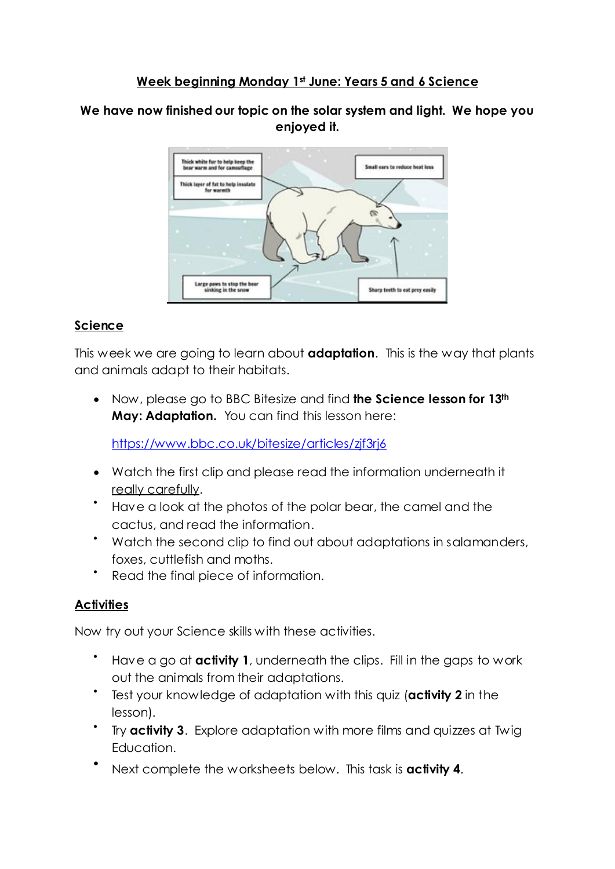## **Week beginning Monday 1st June: Years 5 and 6 Science**

#### **We have now finished our topic on the solar system and light. We hope you enjoyed it.**



## **Science**

This week we are going to learn about **adaptation**. This is the way that plants and animals adapt to their habitats.

 Now, please go to BBC Bitesize and find **the Science lesson for 13th May: Adaptation.** You can find this lesson here:

<https://www.bbc.co.uk/bitesize/articles/zjf3rj6>

- Watch the first clip and please read the information underneath it really carefully.
- Have a look at the photos of the polar bear, the camel and the cactus, and read the information.
- Watch the second clip to find out about adaptations in salamanders, foxes, cuttlefish and moths.
- $\bullet$ Read the final piece of information.

## **Activities**

Now try out your Science skills with these activities.

- Have a go at **activity 1**, underneath the clips. Fill in the gaps to work out the animals from their adaptations.
- Test your knowledge of adaptation with this quiz (**activity 2** in the lesson).
- Try **activity 3**. Explore adaptation with more films and quizzes at Twig Education.
- $\bullet$ Next complete the worksheets below. This task is **activity 4**.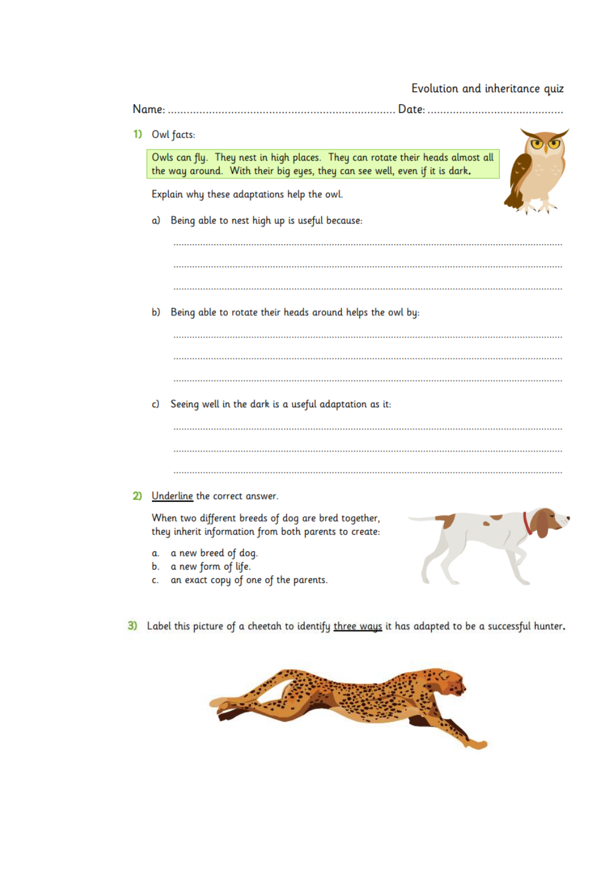# Evolution and inheritance quiz

|                                                                                                                                                               | Date:                                                                                                        |  |
|---------------------------------------------------------------------------------------------------------------------------------------------------------------|--------------------------------------------------------------------------------------------------------------|--|
|                                                                                                                                                               | Owl facts:                                                                                                   |  |
| Owls can fly. They nest in high places. They can rotate their heads almost all<br>the way around. With their big eyes, they can see well, even if it is dark. |                                                                                                              |  |
| Explain why these adaptations help the owl.                                                                                                                   |                                                                                                              |  |
| a)                                                                                                                                                            | Being able to nest high up is useful because:                                                                |  |
|                                                                                                                                                               |                                                                                                              |  |
|                                                                                                                                                               |                                                                                                              |  |
|                                                                                                                                                               | Being able to rotate their heads around helps the owl by:                                                    |  |
|                                                                                                                                                               |                                                                                                              |  |
|                                                                                                                                                               |                                                                                                              |  |
|                                                                                                                                                               | Seeing well in the dark is a useful adaptation as it:                                                        |  |
|                                                                                                                                                               |                                                                                                              |  |
|                                                                                                                                                               | Underline the correct answer.                                                                                |  |
|                                                                                                                                                               | When two different breeds of dog are bred together,<br>they inherit information from both parents to create: |  |
| α.<br>b.<br>c.                                                                                                                                                | a new breed of dog.<br>a new form of life.<br>an exact copy of one of the parents.                           |  |
|                                                                                                                                                               | b)<br>c)                                                                                                     |  |

3) Label this picture of a cheetah to identify three ways it has adapted to be a successful hunter.

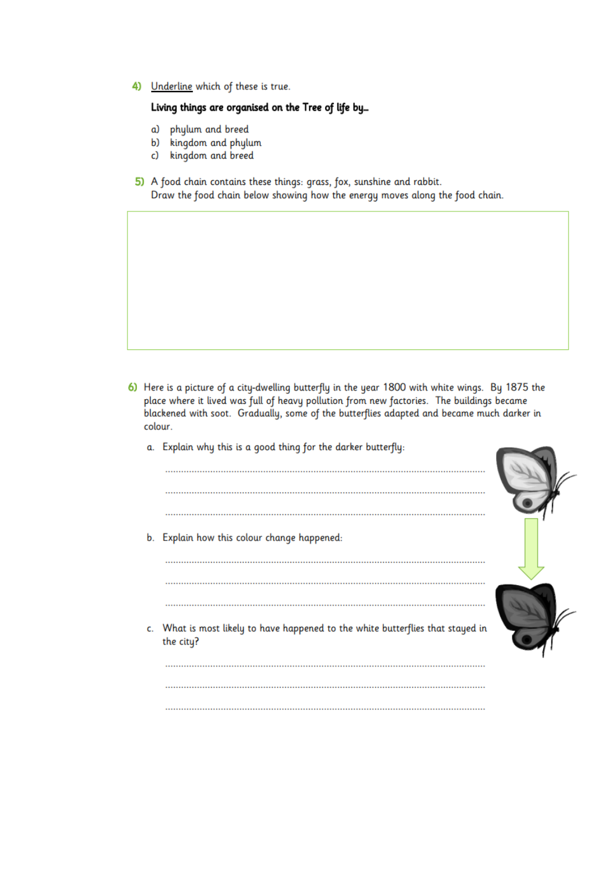4) Underline which of these is true.

#### Living things are organised on the Tree of life by...

- phylum and breed a)
- b) kingdom and phylum
- kingdom and breed c)
- 5) A food chain contains these things: grass, fox, sunshine and rabbit. Draw the food chain below showing how the energy moves along the food chain.

- 6) Here is a picture of a city-dwelling butterfly in the year 1800 with white wings. By 1875 the place where it lived was full of heavy pollution from new factories. The buildings became blackened with soot. Gradually, some of the butterflies adapted and became much darker in colour.
	- a. Explain why this is a good thing for the darker butterfly:
	- b. Explain how this colour change happened: c. What is most likely to have happened to the white butterflies that stayed in the city?